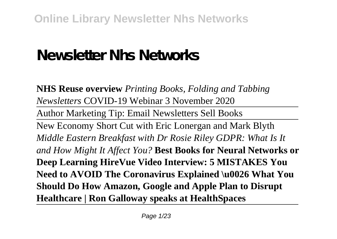# **Newsletter Nhs Networks**

**NHS Reuse overview** *Printing Books, Folding and Tabbing Newsletters* COVID-19 Webinar 3 November 2020

Author Marketing Tip: Email Newsletters Sell Books

New Economy Short Cut with Eric Lonergan and Mark Blyth *Middle Eastern Breakfast with Dr Rosie Riley GDPR: What Is It and How Might It Affect You?* **Best Books for Neural Networks or Deep Learning HireVue Video Interview: 5 MISTAKES You Need to AVOID The Coronavirus Explained \u0026 What You Should Do How Amazon, Google and Apple Plan to Disrupt Healthcare | Ron Galloway speaks at HealthSpaces**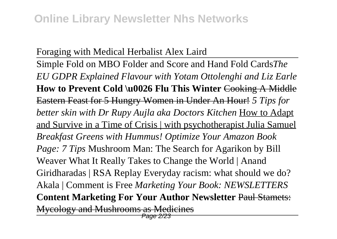# Foraging with Medical Herbalist Alex Laird

Simple Fold on MBO Folder and Score and Hand Fold Cards*The EU GDPR Explained Flavour with Yotam Ottolenghi and Liz Earle* **How to Prevent Cold \u0026 Flu This Winter** Cooking A Middle Eastern Feast for 5 Hungry Women in Under An Hour! *5 Tips for better skin with Dr Rupy Aujla aka Doctors Kitchen* How to Adapt and Survive in a Time of Crisis | with psychotherapist Julia Samuel *Breakfast Greens with Hummus! Optimize Your Amazon Book Page: 7 Tips* Mushroom Man: The Search for Agarikon by Bill Weaver What It Really Takes to Change the World | Anand Giridharadas | RSA Replay Everyday racism: what should we do? Akala | Comment is Free *Marketing Your Book: NEWSLETTERS* **Content Marketing For Your Author Newsletter** Paul Stamets: Mycology and Mushrooms as Medicines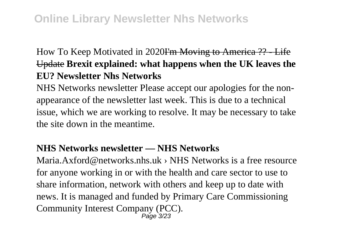# How To Keep Motivated in 2020I'm Moving to America ?? - Life Update **Brexit explained: what happens when the UK leaves the EU? Newsletter Nhs Networks**

NHS Networks newsletter Please accept our apologies for the nonappearance of the newsletter last week. This is due to a technical issue, which we are working to resolve. It may be necessary to take the site down in the meantime.

# **NHS Networks newsletter — NHS Networks**

Maria.Axford@networks.nhs.uk › NHS Networks is a free resource for anyone working in or with the health and care sector to use to share information, network with others and keep up to date with news. It is managed and funded by Primary Care Commissioning Community Interest Company (PCC).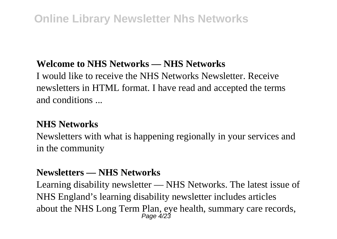# **Welcome to NHS Networks — NHS Networks**

I would like to receive the NHS Networks Newsletter. Receive newsletters in HTML format. I have read and accepted the terms and conditions ...

# **NHS Networks**

Newsletters with what is happening regionally in your services and in the community

# **Newsletters — NHS Networks**

Learning disability newsletter — NHS Networks. The latest issue of NHS England's learning disability newsletter includes articles about the NHS Long Term Plan, eye health, summary care records,<br>  $P_{\text{age}}$  4/23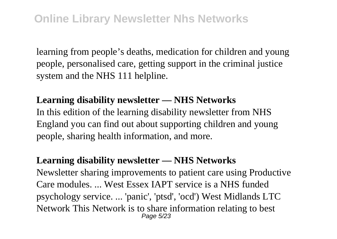learning from people's deaths, medication for children and young people, personalised care, getting support in the criminal justice system and the NHS 111 helpline.

## **Learning disability newsletter — NHS Networks**

In this edition of the learning disability newsletter from NHS England you can find out about supporting children and young people, sharing health information, and more.

### **Learning disability newsletter — NHS Networks**

Newsletter sharing improvements to patient care using Productive Care modules. ... West Essex IAPT service is a NHS funded psychology service. ... 'panic', 'ptsd', 'ocd') West Midlands LTC Network This Network is to share information relating to best Page 5/23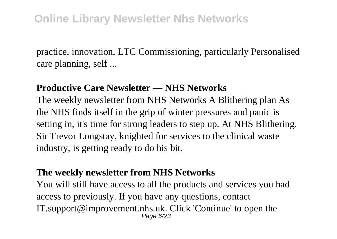practice, innovation, LTC Commissioning, particularly Personalised care planning, self ...

### **Productive Care Newsletter — NHS Networks**

The weekly newsletter from NHS Networks A Blithering plan As the NHS finds itself in the grip of winter pressures and panic is setting in, it's time for strong leaders to step up. At NHS Blithering, Sir Trevor Longstay, knighted for services to the clinical waste industry, is getting ready to do his bit.

### **The weekly newsletter from NHS Networks**

You will still have access to all the products and services you had access to previously. If you have any questions, contact IT.support@improvement.nhs.uk. Click 'Continue' to open the Page 6/23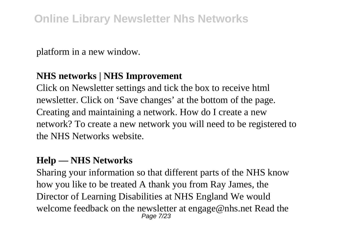platform in a new window.

## **NHS networks | NHS Improvement**

Click on Newsletter settings and tick the box to receive html newsletter. Click on 'Save changes' at the bottom of the page. Creating and maintaining a network. How do I create a new network? To create a new network you will need to be registered to the NHS Networks website.

## **Help — NHS Networks**

Sharing your information so that different parts of the NHS know how you like to be treated A thank you from Ray James, the Director of Learning Disabilities at NHS England We would welcome feedback on the newsletter at engage@nhs.net Read the Page 7/23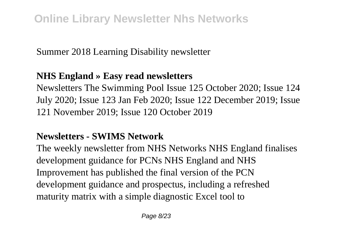Summer 2018 Learning Disability newsletter

# **NHS England » Easy read newsletters**

Newsletters The Swimming Pool Issue 125 October 2020; Issue 124 July 2020; Issue 123 Jan Feb 2020; Issue 122 December 2019; Issue 121 November 2019; Issue 120 October 2019

# **Newsletters - SWIMS Network**

The weekly newsletter from NHS Networks NHS England finalises development guidance for PCNs NHS England and NHS Improvement has published the final version of the PCN development guidance and prospectus, including a refreshed maturity matrix with a simple diagnostic Excel tool to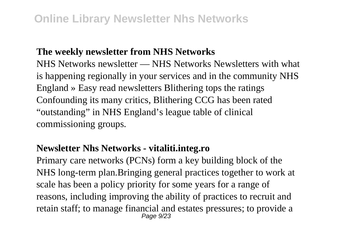### **The weekly newsletter from NHS Networks**

NHS Networks newsletter — NHS Networks Newsletters with what is happening regionally in your services and in the community NHS England » Easy read newsletters Blithering tops the ratings Confounding its many critics, Blithering CCG has been rated "outstanding" in NHS England's league table of clinical commissioning groups.

#### **Newsletter Nhs Networks - vitaliti.integ.ro**

Primary care networks (PCNs) form a key building block of the NHS long-term plan.Bringing general practices together to work at scale has been a policy priority for some years for a range of reasons, including improving the ability of practices to recruit and retain staff; to manage financial and estates pressures; to provide a Page 9/23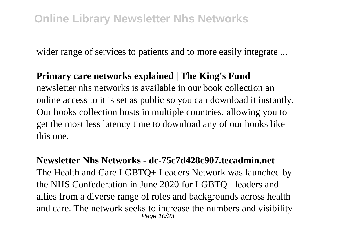wider range of services to patients and to more easily integrate ...

#### **Primary care networks explained | The King's Fund**

newsletter nhs networks is available in our book collection an online access to it is set as public so you can download it instantly. Our books collection hosts in multiple countries, allowing you to get the most less latency time to download any of our books like this one.

**Newsletter Nhs Networks - dc-75c7d428c907.tecadmin.net** The Health and Care LGBTQ+ Leaders Network was launched by the NHS Confederation in June 2020 for LGBTQ+ leaders and allies from a diverse range of roles and backgrounds across health and care. The network seeks to increase the numbers and visibility Page 10/23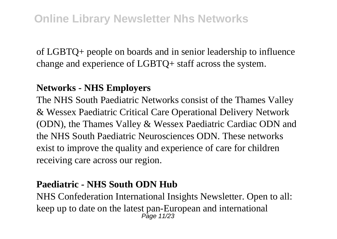of LGBTQ+ people on boards and in senior leadership to influence change and experience of LGBTQ+ staff across the system.

# **Networks - NHS Employers**

The NHS South Paediatric Networks consist of the Thames Valley & Wessex Paediatric Critical Care Operational Delivery Network (ODN), the Thames Valley & Wessex Paediatric Cardiac ODN and the NHS South Paediatric Neurosciences ODN. These networks exist to improve the quality and experience of care for children receiving care across our region.

# **Paediatric - NHS South ODN Hub**

NHS Confederation International Insights Newsletter. Open to all: keep up to date on the latest pan-European and international Page 11/23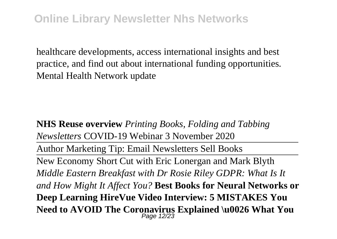healthcare developments, access international insights and best practice, and find out about international funding opportunities. Mental Health Network update

**NHS Reuse overview** *Printing Books, Folding and Tabbing Newsletters* COVID-19 Webinar 3 November 2020 Author Marketing Tip: Email Newsletters Sell Books New Economy Short Cut with Eric Lonergan and Mark Blyth *Middle Eastern Breakfast with Dr Rosie Riley GDPR: What Is It and How Might It Affect You?* **Best Books for Neural Networks or Deep Learning HireVue Video Interview: 5 MISTAKES You Need to AVOID The Coronavirus Explained \u0026 What You** Page 12/23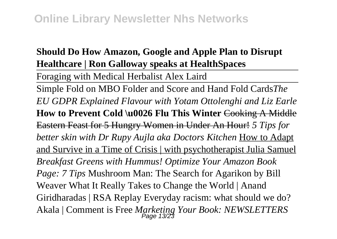# **Should Do How Amazon, Google and Apple Plan to Disrupt Healthcare | Ron Galloway speaks at HealthSpaces**

Foraging with Medical Herbalist Alex Laird

Simple Fold on MBO Folder and Score and Hand Fold Cards*The EU GDPR Explained Flavour with Yotam Ottolenghi and Liz Earle* **How to Prevent Cold \u0026 Flu This Winter** Cooking A Middle Eastern Feast for 5 Hungry Women in Under An Hour! *5 Tips for better skin with Dr Rupy Aujla aka Doctors Kitchen* How to Adapt and Survive in a Time of Crisis | with psychotherapist Julia Samuel *Breakfast Greens with Hummus! Optimize Your Amazon Book Page: 7 Tips* Mushroom Man: The Search for Agarikon by Bill Weaver What It Really Takes to Change the World | Anand Giridharadas | RSA Replay Everyday racism: what should we do? Akala | Comment is Free *Marketing Your Book: NEWSLETTERS* Page 13/23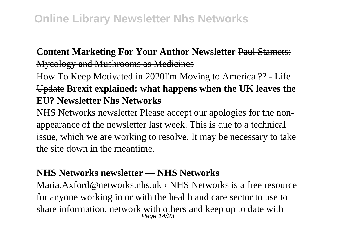# **Content Marketing For Your Author Newsletter** Paul Stamets:

Mycology and Mushrooms as Medicines

How To Keep Motivated in 2020I'm Moving to America ?? - Life Update **Brexit explained: what happens when the UK leaves the EU? Newsletter Nhs Networks**

NHS Networks newsletter Please accept our apologies for the nonappearance of the newsletter last week. This is due to a technical issue, which we are working to resolve. It may be necessary to take the site down in the meantime.

# **NHS Networks newsletter — NHS Networks**

Maria. Axford@networks.nhs.uk > NHS Networks is a free resource for anyone working in or with the health and care sector to use to share information, network with others and keep up to date with  $P_{\text{age}}$  14/23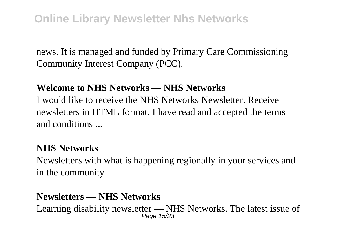news. It is managed and funded by Primary Care Commissioning Community Interest Company (PCC).

### **Welcome to NHS Networks — NHS Networks**

I would like to receive the NHS Networks Newsletter. Receive newsletters in HTML format. I have read and accepted the terms and conditions ...

### **NHS Networks**

Newsletters with what is happening regionally in your services and in the community

## **Newsletters — NHS Networks**

Learning disability newsletter — NHS Networks. The latest issue of Page 15/23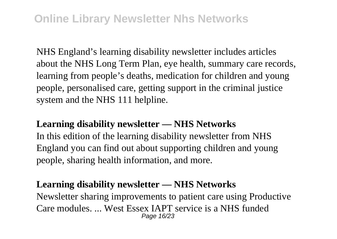NHS England's learning disability newsletter includes articles about the NHS Long Term Plan, eye health, summary care records, learning from people's deaths, medication for children and young people, personalised care, getting support in the criminal justice system and the NHS 111 helpline.

## **Learning disability newsletter — NHS Networks**

In this edition of the learning disability newsletter from NHS England you can find out about supporting children and young people, sharing health information, and more.

## **Learning disability newsletter — NHS Networks**

Newsletter sharing improvements to patient care using Productive Care modules. ... West Essex IAPT service is a NHS funded Page 16/23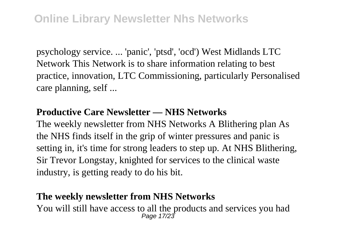psychology service. ... 'panic', 'ptsd', 'ocd') West Midlands LTC Network This Network is to share information relating to best practice, innovation, LTC Commissioning, particularly Personalised care planning, self ...

## **Productive Care Newsletter — NHS Networks**

The weekly newsletter from NHS Networks A Blithering plan As the NHS finds itself in the grip of winter pressures and panic is setting in, it's time for strong leaders to step up. At NHS Blithering, Sir Trevor Longstay, knighted for services to the clinical waste industry, is getting ready to do his bit.

### **The weekly newsletter from NHS Networks**

You will still have access to all the products and services you had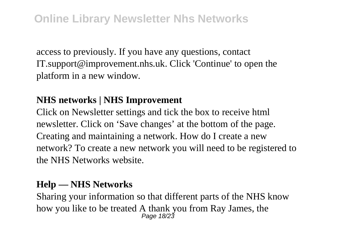access to previously. If you have any questions, contact IT.support@improvement.nhs.uk. Click 'Continue' to open the platform in a new window.

# **NHS networks | NHS Improvement**

Click on Newsletter settings and tick the box to receive html newsletter. Click on 'Save changes' at the bottom of the page. Creating and maintaining a network. How do I create a new network? To create a new network you will need to be registered to the NHS Networks website.

# **Help — NHS Networks**

Sharing your information so that different parts of the NHS know how you like to be treated A thank you from Ray James, the  $P_{\text{age 18/23}}$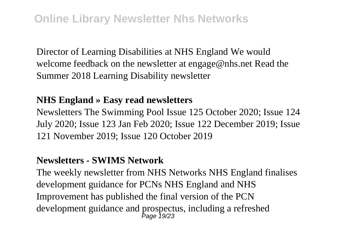Director of Learning Disabilities at NHS England We would welcome feedback on the newsletter at engage@nhs.net Read the Summer 2018 Learning Disability newsletter

### **NHS England » Easy read newsletters**

Newsletters The Swimming Pool Issue 125 October 2020; Issue 124 July 2020; Issue 123 Jan Feb 2020; Issue 122 December 2019; Issue 121 November 2019; Issue 120 October 2019

### **Newsletters - SWIMS Network**

The weekly newsletter from NHS Networks NHS England finalises development guidance for PCNs NHS England and NHS Improvement has published the final version of the PCN development guidance and prospectus, including a refreshed Page 19/23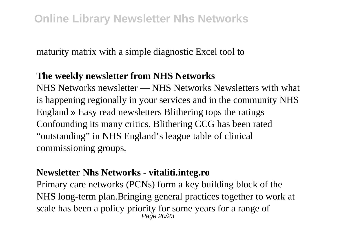maturity matrix with a simple diagnostic Excel tool to

### **The weekly newsletter from NHS Networks**

NHS Networks newsletter — NHS Networks Newsletters with what is happening regionally in your services and in the community NHS England » Easy read newsletters Blithering tops the ratings Confounding its many critics, Blithering CCG has been rated "outstanding" in NHS England's league table of clinical commissioning groups.

### **Newsletter Nhs Networks - vitaliti.integ.ro**

Primary care networks (PCNs) form a key building block of the NHS long-term plan.Bringing general practices together to work at scale has been a policy priority for some years for a range of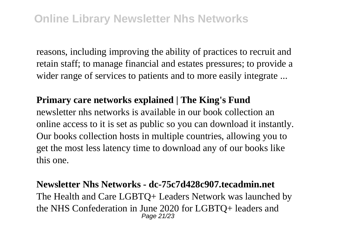reasons, including improving the ability of practices to recruit and retain staff; to manage financial and estates pressures; to provide a wider range of services to patients and to more easily integrate ...

#### **Primary care networks explained | The King's Fund**

newsletter nhs networks is available in our book collection an online access to it is set as public so you can download it instantly. Our books collection hosts in multiple countries, allowing you to get the most less latency time to download any of our books like this one.

#### **Newsletter Nhs Networks - dc-75c7d428c907.tecadmin.net**

The Health and Care LGBTQ+ Leaders Network was launched by the NHS Confederation in June 2020 for LGBTQ+ leaders and Page 21/23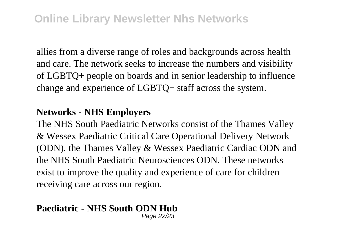allies from a diverse range of roles and backgrounds across health and care. The network seeks to increase the numbers and visibility of LGBTQ+ people on boards and in senior leadership to influence change and experience of LGBTQ+ staff across the system.

### **Networks - NHS Employers**

The NHS South Paediatric Networks consist of the Thames Valley & Wessex Paediatric Critical Care Operational Delivery Network (ODN), the Thames Valley & Wessex Paediatric Cardiac ODN and the NHS South Paediatric Neurosciences ODN. These networks exist to improve the quality and experience of care for children receiving care across our region.

#### **Paediatric - NHS South ODN Hub** Page 22/23